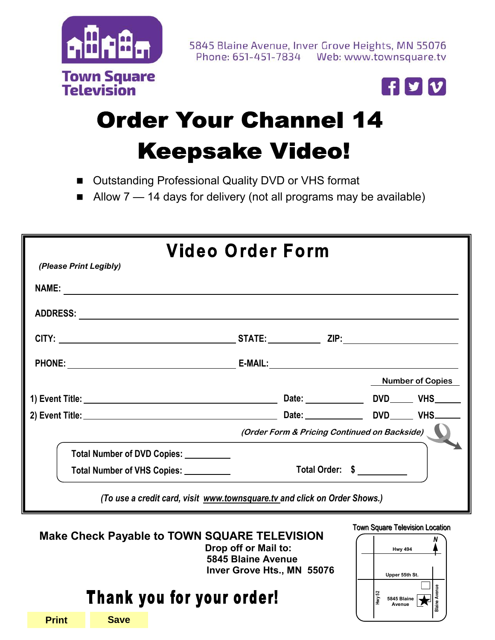



# **Order Your Channel 14 Keepsake Video!**

- Outstanding Professional Quality DVD or VHS format
- Allow 7 14 days for delivery (not all programs may be available)

| Video Order Form                                                                                                                                                                                                              |                                              |                         |  |
|-------------------------------------------------------------------------------------------------------------------------------------------------------------------------------------------------------------------------------|----------------------------------------------|-------------------------|--|
| (Please Print Legibly)                                                                                                                                                                                                        |                                              |                         |  |
|                                                                                                                                                                                                                               |                                              |                         |  |
|                                                                                                                                                                                                                               |                                              |                         |  |
|                                                                                                                                                                                                                               |                                              |                         |  |
| PHONE: E-MAIL: E-MAIL: E-MAIL: E-MAIL: PHONE: PHONE: PHONE: PHONE: PHONE: PHONE: PHONE: PHONE: PHONE: PHONE PHONE PHONE PHONE PHONE PHONE PHONE PHONE PHONE PHONE PHONE PHONE PHONE PHONE PHONE PHONE PHONE PHONE PHONE PHONE |                                              |                         |  |
|                                                                                                                                                                                                                               |                                              | <b>Number of Copies</b> |  |
|                                                                                                                                                                                                                               |                                              |                         |  |
|                                                                                                                                                                                                                               |                                              |                         |  |
|                                                                                                                                                                                                                               | (Order Form & Pricing Continued on Backside) |                         |  |
| Total Number of DVD Copies: __________                                                                                                                                                                                        |                                              |                         |  |
| Total Number of VHS Copies: __________                                                                                                                                                                                        | Total Order: \$                              |                         |  |
| (To use a credit card, visit www.townsquare.tv and click on Order Shows.)                                                                                                                                                     |                                              |                         |  |

**Make Check Payable to TOWN SQUARE TELEVISION Drop off or Mail to: 5845 Blaine Avenue Inver Grove Hts., MN 55076** 

## Thank you for your order!



**Print Save**